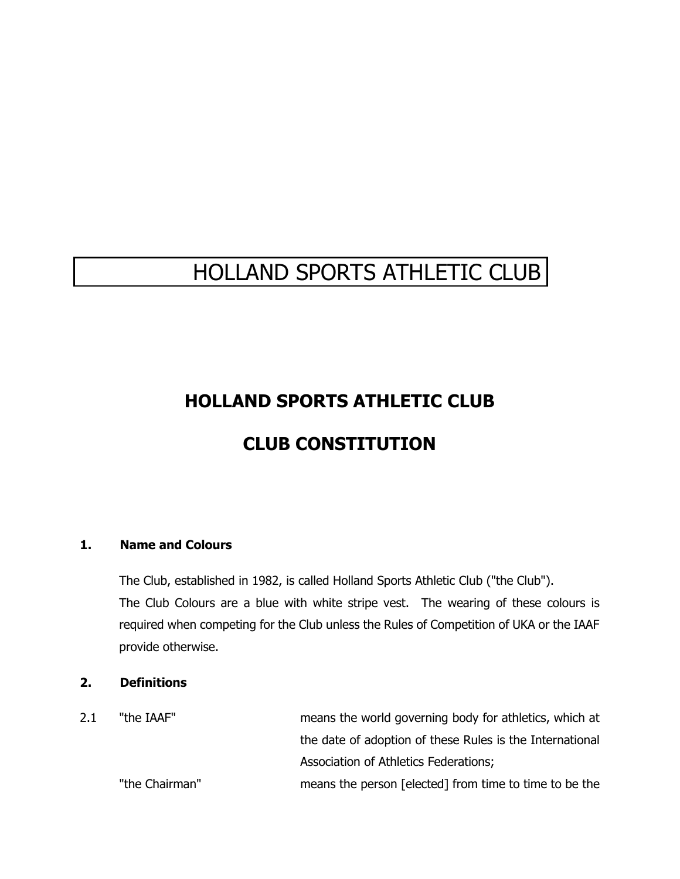# HOLLAND SPORTS ATHLETIC CLUB

# **HOLLAND SPORTS ATHLETIC CLUB**

# **CLUB CONSTITUTION**

# **1. Name and Colours**

The Club, established in 1982, is called Holland Sports Athletic Club ("the Club"). The Club Colours are a blue with white stripe vest. The wearing of these colours is required when competing for the Club unless the Rules of Competition of UKA or the IAAF provide otherwise.

#### **2. Definitions**

2.1 "the IAAF" means the world governing body for athletics, which at the date of adoption of these Rules is the International Association of Athletics Federations; "the Chairman" means the person [elected] from time to time to be the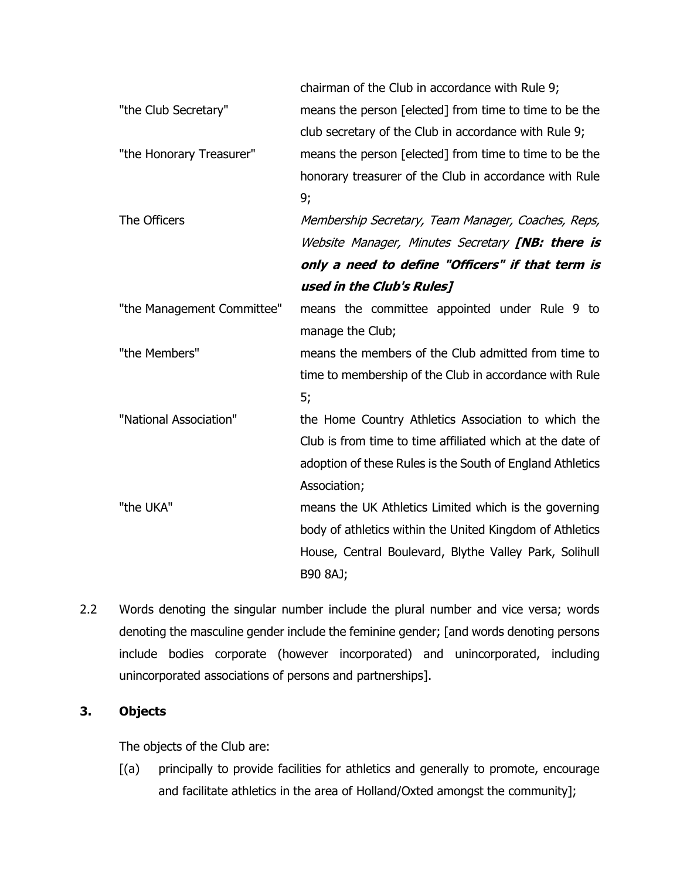|                            | chairman of the Club in accordance with Rule 9;           |
|----------------------------|-----------------------------------------------------------|
| "the Club Secretary"       | means the person [elected] from time to time to be the    |
|                            | club secretary of the Club in accordance with Rule 9;     |
| "the Honorary Treasurer"   | means the person [elected] from time to time to be the    |
|                            | honorary treasurer of the Club in accordance with Rule    |
|                            | 9;                                                        |
| The Officers               | Membership Secretary, Team Manager, Coaches, Reps,        |
|                            | Website Manager, Minutes Secretary [NB: there is          |
|                            | only a need to define "Officers" if that term is          |
|                            | used in the Club's Rules]                                 |
| "the Management Committee" | means the committee appointed under Rule 9 to             |
|                            | manage the Club;                                          |
| "the Members"              | means the members of the Club admitted from time to       |
|                            | time to membership of the Club in accordance with Rule    |
|                            | 5;                                                        |
| "National Association"     | the Home Country Athletics Association to which the       |
|                            | Club is from time to time affiliated which at the date of |
|                            | adoption of these Rules is the South of England Athletics |
|                            | Association;                                              |
| "the UKA"                  | means the UK Athletics Limited which is the governing     |
|                            | body of athletics within the United Kingdom of Athletics  |
|                            | House, Central Boulevard, Blythe Valley Park, Solihull    |
|                            | B90 8AJ;                                                  |

2.2 Words denoting the singular number include the plural number and vice versa; words denoting the masculine gender include the feminine gender; [and words denoting persons include bodies corporate (however incorporated) and unincorporated, including unincorporated associations of persons and partnerships].

# **3. Objects**

The objects of the Club are:

[(a) principally to provide facilities for athletics and generally to promote, encourage and facilitate athletics in the area of Holland/Oxted amongst the community];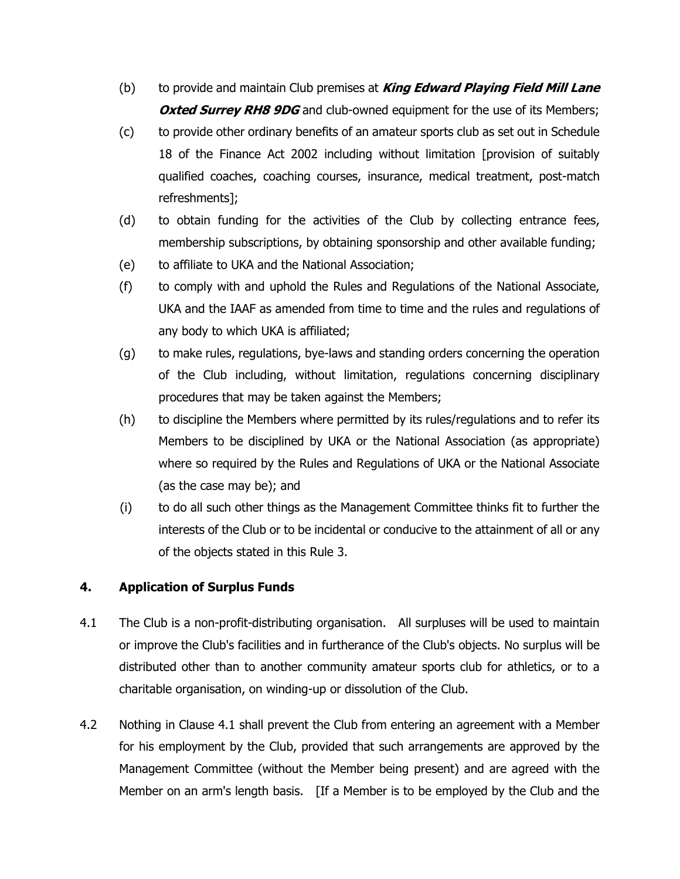- (b) to provide and maintain Club premises at **King Edward Playing Field Mill Lane Oxted Surrey RH8 9DG** and club-owned equipment for the use of its Members;
- (c) to provide other ordinary benefits of an amateur sports club as set out in Schedule 18 of the Finance Act 2002 including without limitation [provision of suitably qualified coaches, coaching courses, insurance, medical treatment, post-match refreshments];
- (d) to obtain funding for the activities of the Club by collecting entrance fees, membership subscriptions, by obtaining sponsorship and other available funding;
- (e) to affiliate to UKA and the National Association;
- (f) to comply with and uphold the Rules and Regulations of the National Associate, UKA and the IAAF as amended from time to time and the rules and regulations of any body to which UKA is affiliated;
- (g) to make rules, regulations, bye-laws and standing orders concerning the operation of the Club including, without limitation, regulations concerning disciplinary procedures that may be taken against the Members;
- (h) to discipline the Members where permitted by its rules/regulations and to refer its Members to be disciplined by UKA or the National Association (as appropriate) where so required by the Rules and Regulations of UKA or the National Associate (as the case may be); and
- (i) to do all such other things as the Management Committee thinks fit to further the interests of the Club or to be incidental or conducive to the attainment of all or any of the objects stated in this Rule 3.

# **4. Application of Surplus Funds**

- 4.1 The Club is a non-profit-distributing organisation. All surpluses will be used to maintain or improve the Club's facilities and in furtherance of the Club's objects. No surplus will be distributed other than to another community amateur sports club for athletics, or to a charitable organisation, on winding-up or dissolution of the Club.
- 4.2 Nothing in Clause 4.1 shall prevent the Club from entering an agreement with a Member for his employment by the Club, provided that such arrangements are approved by the Management Committee (without the Member being present) and are agreed with the Member on an arm's length basis. [If a Member is to be employed by the Club and the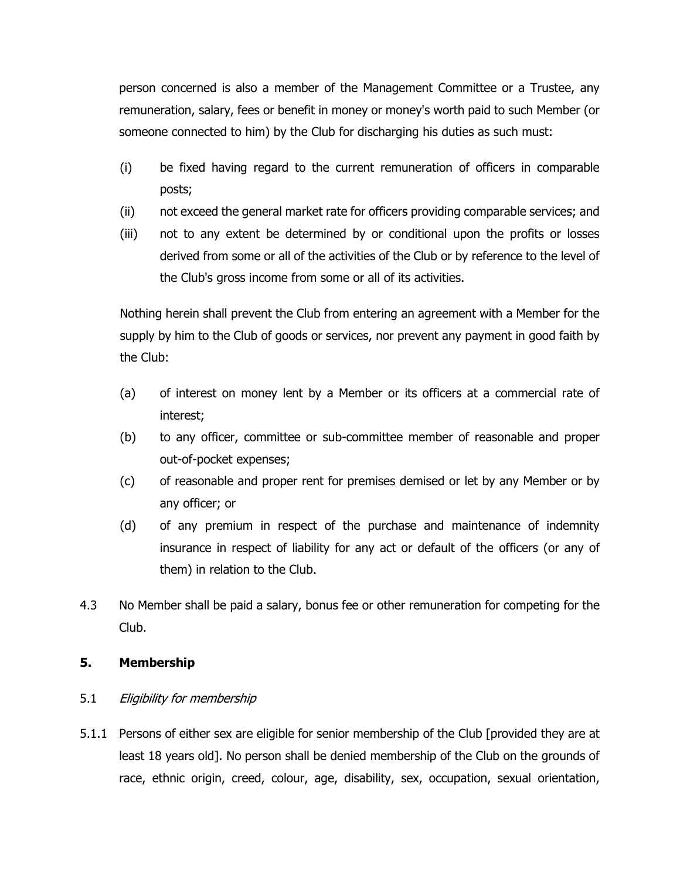person concerned is also a member of the Management Committee or a Trustee, any remuneration, salary, fees or benefit in money or money's worth paid to such Member (or someone connected to him) by the Club for discharging his duties as such must:

- (i) be fixed having regard to the current remuneration of officers in comparable posts;
- (ii) not exceed the general market rate for officers providing comparable services; and
- (iii) not to any extent be determined by or conditional upon the profits or losses derived from some or all of the activities of the Club or by reference to the level of the Club's gross income from some or all of its activities.

Nothing herein shall prevent the Club from entering an agreement with a Member for the supply by him to the Club of goods or services, nor prevent any payment in good faith by the Club:

- (a) of interest on money lent by a Member or its officers at a commercial rate of interest;
- (b) to any officer, committee or sub-committee member of reasonable and proper out-of-pocket expenses;
- (c) of reasonable and proper rent for premises demised or let by any Member or by any officer; or
- (d) of any premium in respect of the purchase and maintenance of indemnity insurance in respect of liability for any act or default of the officers (or any of them) in relation to the Club.
- 4.3 No Member shall be paid a salary, bonus fee or other remuneration for competing for the Club.

#### **5. Membership**

# 5.1 Eligibility for membership

5.1.1 Persons of either sex are eligible for senior membership of the Club [provided they are at least 18 years old]. No person shall be denied membership of the Club on the grounds of race, ethnic origin, creed, colour, age, disability, sex, occupation, sexual orientation,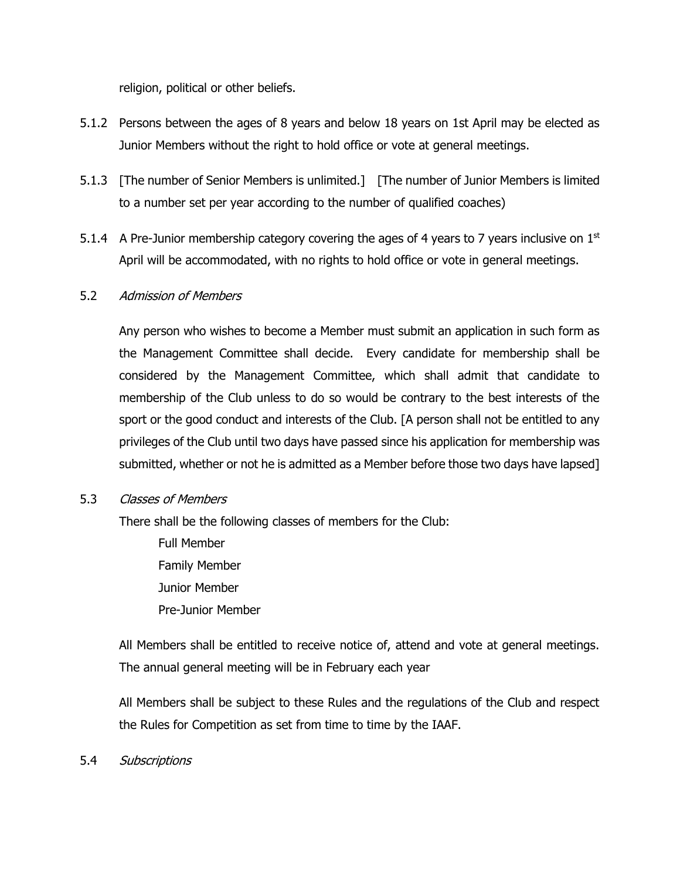religion, political or other beliefs.

- 5.1.2 Persons between the ages of 8 years and below 18 years on 1st April may be elected as Junior Members without the right to hold office or vote at general meetings.
- 5.1.3 [The number of Senior Members is unlimited.] [The number of Junior Members is limited to a number set per year according to the number of qualified coaches)
- 5.1.4 A Pre-Junior membership category covering the ages of 4 years to 7 years inclusive on  $1<sup>st</sup>$ April will be accommodated, with no rights to hold office or vote in general meetings.

# 5.2 Admission of Members

Any person who wishes to become a Member must submit an application in such form as the Management Committee shall decide. Every candidate for membership shall be considered by the Management Committee, which shall admit that candidate to membership of the Club unless to do so would be contrary to the best interests of the sport or the good conduct and interests of the Club. [A person shall not be entitled to any privileges of the Club until two days have passed since his application for membership was submitted, whether or not he is admitted as a Member before those two days have lapsed]

#### 5.3 Classes of Members

There shall be the following classes of members for the Club:

Full Member Family Member Junior Member Pre-Junior Member

All Members shall be entitled to receive notice of, attend and vote at general meetings. The annual general meeting will be in February each year

All Members shall be subject to these Rules and the regulations of the Club and respect the Rules for Competition as set from time to time by the IAAF.

5.4 Subscriptions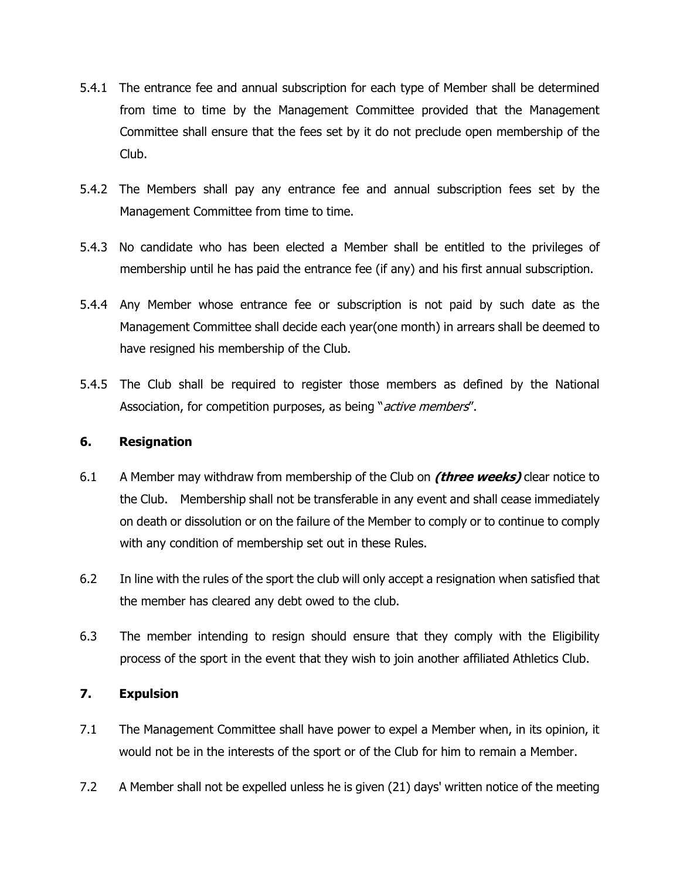- 5.4.1 The entrance fee and annual subscription for each type of Member shall be determined from time to time by the Management Committee provided that the Management Committee shall ensure that the fees set by it do not preclude open membership of the Club.
- 5.4.2 The Members shall pay any entrance fee and annual subscription fees set by the Management Committee from time to time.
- 5.4.3 No candidate who has been elected a Member shall be entitled to the privileges of membership until he has paid the entrance fee (if any) and his first annual subscription.
- 5.4.4 Any Member whose entrance fee or subscription is not paid by such date as the Management Committee shall decide each year(one month) in arrears shall be deemed to have resigned his membership of the Club.
- 5.4.5 The Club shall be required to register those members as defined by the National Association, for competition purposes, as being "*active members*".

#### **6. Resignation**

- 6.1 A Member may withdraw from membership of the Club on **(three weeks)** clear notice to the Club. Membership shall not be transferable in any event and shall cease immediately on death or dissolution or on the failure of the Member to comply or to continue to comply with any condition of membership set out in these Rules.
- 6.2 In line with the rules of the sport the club will only accept a resignation when satisfied that the member has cleared any debt owed to the club.
- 6.3 The member intending to resign should ensure that they comply with the Eligibility process of the sport in the event that they wish to join another affiliated Athletics Club.

# **7. Expulsion**

- 7.1 The Management Committee shall have power to expel a Member when, in its opinion, it would not be in the interests of the sport or of the Club for him to remain a Member.
- 7.2 A Member shall not be expelled unless he is given (21) days' written notice of the meeting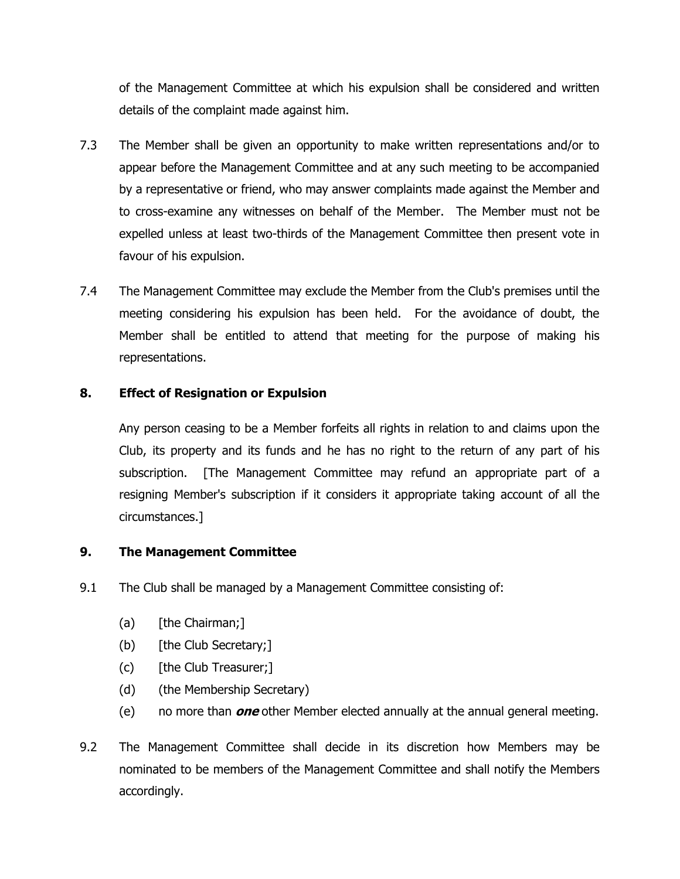of the Management Committee at which his expulsion shall be considered and written details of the complaint made against him.

- 7.3 The Member shall be given an opportunity to make written representations and/or to appear before the Management Committee and at any such meeting to be accompanied by a representative or friend, who may answer complaints made against the Member and to cross-examine any witnesses on behalf of the Member. The Member must not be expelled unless at least two-thirds of the Management Committee then present vote in favour of his expulsion.
- 7.4 The Management Committee may exclude the Member from the Club's premises until the meeting considering his expulsion has been held. For the avoidance of doubt, the Member shall be entitled to attend that meeting for the purpose of making his representations.

# **8. Effect of Resignation or Expulsion**

Any person ceasing to be a Member forfeits all rights in relation to and claims upon the Club, its property and its funds and he has no right to the return of any part of his subscription. [The Management Committee may refund an appropriate part of a resigning Member's subscription if it considers it appropriate taking account of all the circumstances.]

# **9. The Management Committee**

- 9.1 The Club shall be managed by a Management Committee consisting of:
	- (a) [the Chairman;]
	- (b) [the Club Secretary;]
	- (c) [the Club Treasurer;]
	- (d) (the Membership Secretary)
	- (e) no more than **one** other Member elected annually at the annual general meeting.
- 9.2 The Management Committee shall decide in its discretion how Members may be nominated to be members of the Management Committee and shall notify the Members accordingly.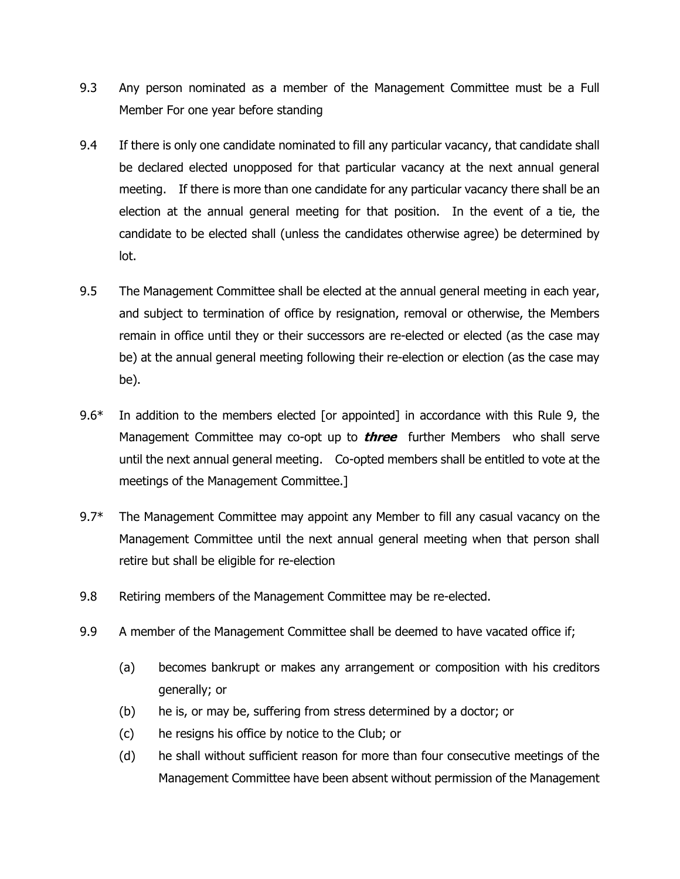- 9.3 Any person nominated as a member of the Management Committee must be a Full Member For one year before standing
- 9.4 If there is only one candidate nominated to fill any particular vacancy, that candidate shall be declared elected unopposed for that particular vacancy at the next annual general meeting. If there is more than one candidate for any particular vacancy there shall be an election at the annual general meeting for that position. In the event of a tie, the candidate to be elected shall (unless the candidates otherwise agree) be determined by lot.
- 9.5 The Management Committee shall be elected at the annual general meeting in each year, and subject to termination of office by resignation, removal or otherwise, the Members remain in office until they or their successors are re-elected or elected (as the case may be) at the annual general meeting following their re-election or election (as the case may be).
- 9.6<sup>\*</sup> In addition to the members elected [or appointed] in accordance with this Rule 9, the Management Committee may co-opt up to **three** further Members who shall serve until the next annual general meeting. Co-opted members shall be entitled to vote at the meetings of the Management Committee.]
- 9.7<sup>\*</sup> The Management Committee may appoint any Member to fill any casual vacancy on the Management Committee until the next annual general meeting when that person shall retire but shall be eligible for re-election
- 9.8 Retiring members of the Management Committee may be re-elected.
- 9.9 A member of the Management Committee shall be deemed to have vacated office if;
	- (a) becomes bankrupt or makes any arrangement or composition with his creditors generally; or
	- (b) he is, or may be, suffering from stress determined by a doctor; or
	- (c) he resigns his office by notice to the Club; or
	- (d) he shall without sufficient reason for more than four consecutive meetings of the Management Committee have been absent without permission of the Management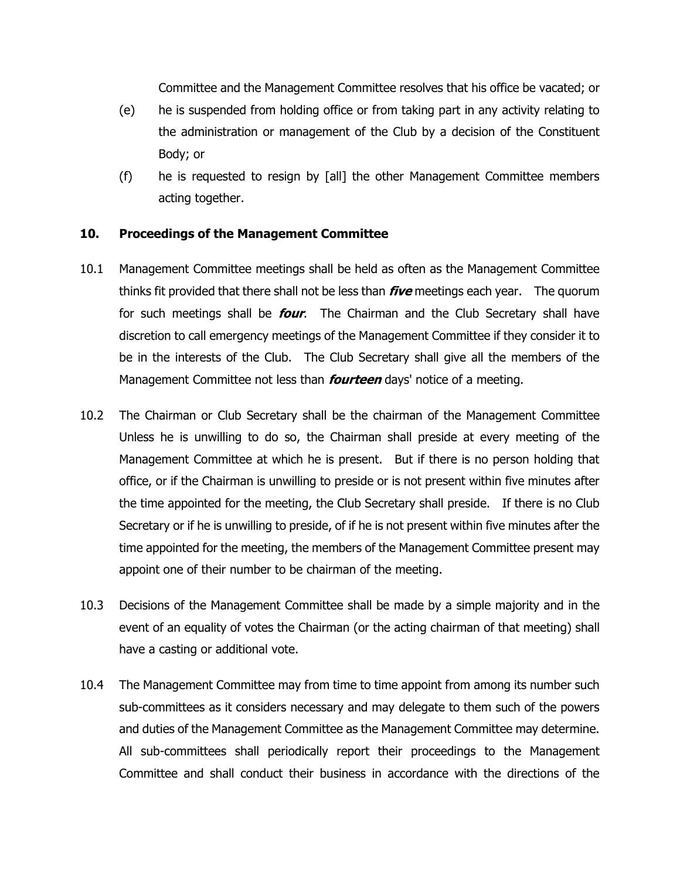Committee and the Management Committee resolves that his office be vacated; or

- (e) he is suspended from holding office or from taking part in any activity relating to the administration or management of the Club by a decision of the Constituent Body; or
- (f) he is requested to resign by [all] the other Management Committee members acting together.

#### **10. Proceedings of the Management Committee**

- 10.1 Management Committee meetings shall be held as often as the Management Committee thinks fit provided that there shall not be less than **five** meetings each year. The quorum for such meetings shall be **four**. The Chairman and the Club Secretary shall have discretion to call emergency meetings of the Management Committee if they consider it to be in the interests of the Club. The Club Secretary shall give all the members of the Management Committee not less than **fourteen** days' notice of a meeting.
- 10.2 The Chairman or Club Secretary shall be the chairman of the Management Committee Unless he is unwilling to do so, the Chairman shall preside at every meeting of the Management Committee at which he is present. But if there is no person holding that office, or if the Chairman is unwilling to preside or is not present within five minutes after the time appointed for the meeting, the Club Secretary shall preside. If there is no Club Secretary or if he is unwilling to preside, of if he is not present within five minutes after the time appointed for the meeting, the members of the Management Committee present may appoint one of their number to be chairman of the meeting.
- 10.3 Decisions of the Management Committee shall be made by a simple majority and in the event of an equality of votes the Chairman (or the acting chairman of that meeting) shall have a casting or additional vote.
- 10.4 The Management Committee may from time to time appoint from among its number such sub-committees as it considers necessary and may delegate to them such of the powers and duties of the Management Committee as the Management Committee may determine. All sub-committees shall periodically report their proceedings to the Management Committee and shall conduct their business in accordance with the directions of the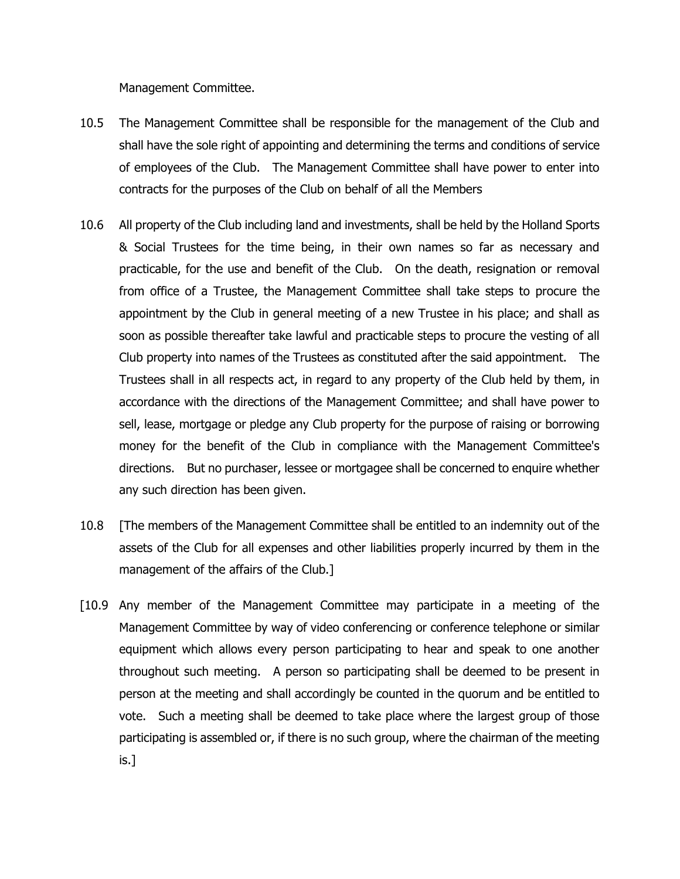Management Committee.

- 10.5 The Management Committee shall be responsible for the management of the Club and shall have the sole right of appointing and determining the terms and conditions of service of employees of the Club. The Management Committee shall have power to enter into contracts for the purposes of the Club on behalf of all the Members
- 10.6 All property of the Club including land and investments, shall be held by the Holland Sports & Social Trustees for the time being, in their own names so far as necessary and practicable, for the use and benefit of the Club. On the death, resignation or removal from office of a Trustee, the Management Committee shall take steps to procure the appointment by the Club in general meeting of a new Trustee in his place; and shall as soon as possible thereafter take lawful and practicable steps to procure the vesting of all Club property into names of the Trustees as constituted after the said appointment. The Trustees shall in all respects act, in regard to any property of the Club held by them, in accordance with the directions of the Management Committee; and shall have power to sell, lease, mortgage or pledge any Club property for the purpose of raising or borrowing money for the benefit of the Club in compliance with the Management Committee's directions. But no purchaser, lessee or mortgagee shall be concerned to enquire whether any such direction has been given.
- 10.8 [The members of the Management Committee shall be entitled to an indemnity out of the assets of the Club for all expenses and other liabilities properly incurred by them in the management of the affairs of the Club.]
- [10.9 Any member of the Management Committee may participate in a meeting of the Management Committee by way of video conferencing or conference telephone or similar equipment which allows every person participating to hear and speak to one another throughout such meeting. A person so participating shall be deemed to be present in person at the meeting and shall accordingly be counted in the quorum and be entitled to vote. Such a meeting shall be deemed to take place where the largest group of those participating is assembled or, if there is no such group, where the chairman of the meeting is.]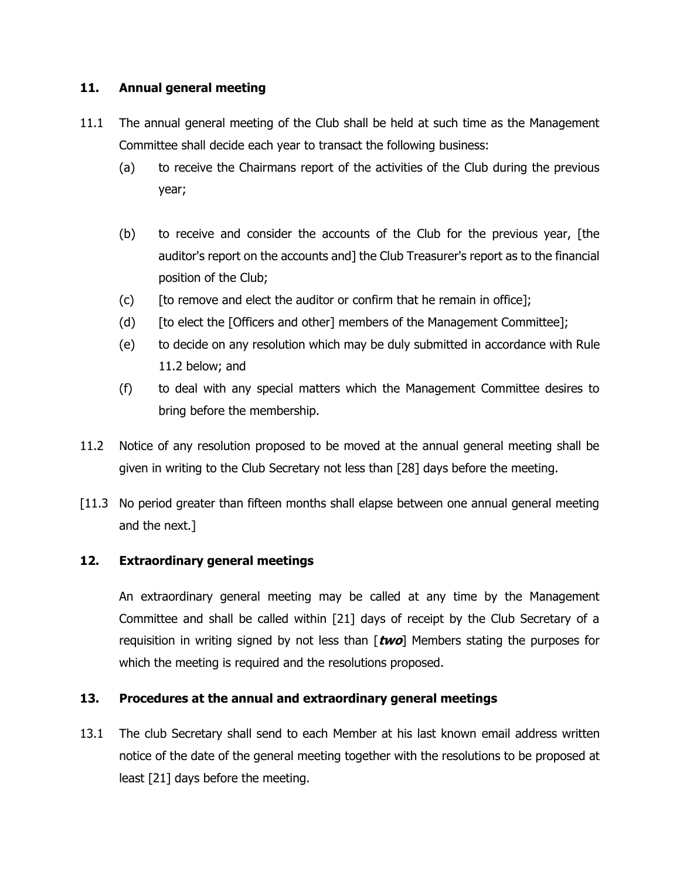# **11. Annual general meeting**

- 11.1 The annual general meeting of the Club shall be held at such time as the Management Committee shall decide each year to transact the following business:
	- (a) to receive the Chairmans report of the activities of the Club during the previous year;
	- (b) to receive and consider the accounts of the Club for the previous year, [the auditor's report on the accounts and] the Club Treasurer's report as to the financial position of the Club;
	- (c) [to remove and elect the auditor or confirm that he remain in office];
	- (d) [to elect the [Officers and other] members of the Management Committee];
	- (e) to decide on any resolution which may be duly submitted in accordance with Rule 11.2 below; and
	- (f) to deal with any special matters which the Management Committee desires to bring before the membership.
- 11.2 Notice of any resolution proposed to be moved at the annual general meeting shall be given in writing to the Club Secretary not less than [28] days before the meeting.
- [11.3 No period greater than fifteen months shall elapse between one annual general meeting and the next.]

# **12. Extraordinary general meetings**

An extraordinary general meeting may be called at any time by the Management Committee and shall be called within [21] days of receipt by the Club Secretary of a requisition in writing signed by not less than [**two**] Members stating the purposes for which the meeting is required and the resolutions proposed.

# **13. Procedures at the annual and extraordinary general meetings**

13.1 The club Secretary shall send to each Member at his last known email address written notice of the date of the general meeting together with the resolutions to be proposed at least [21] days before the meeting.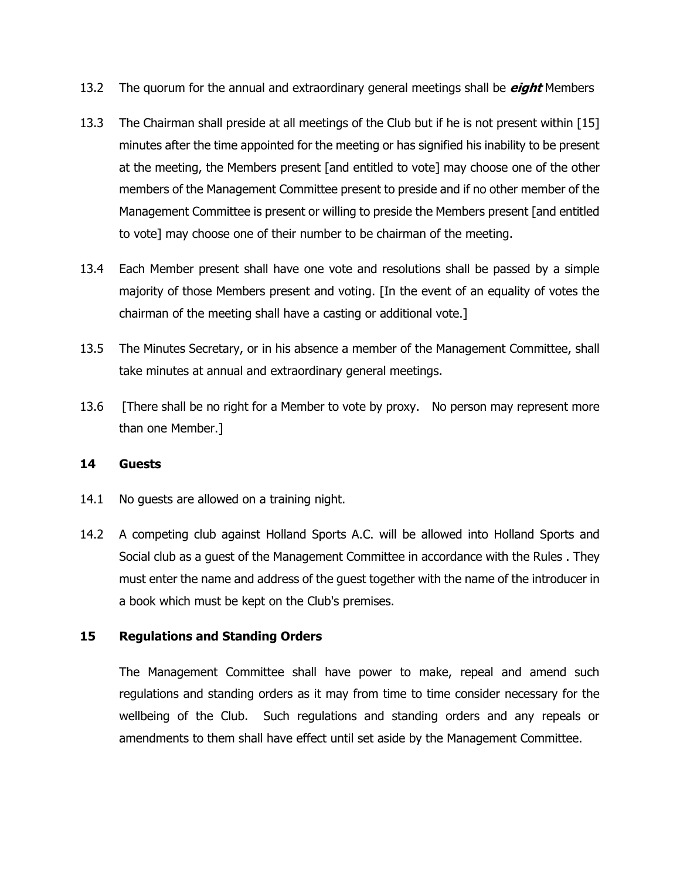- 13.2 The quorum for the annual and extraordinary general meetings shall be **eight** Members
- 13.3 The Chairman shall preside at all meetings of the Club but if he is not present within [15] minutes after the time appointed for the meeting or has signified his inability to be present at the meeting, the Members present [and entitled to vote] may choose one of the other members of the Management Committee present to preside and if no other member of the Management Committee is present or willing to preside the Members present [and entitled to vote] may choose one of their number to be chairman of the meeting.
- 13.4 Each Member present shall have one vote and resolutions shall be passed by a simple majority of those Members present and voting. [In the event of an equality of votes the chairman of the meeting shall have a casting or additional vote.]
- 13.5 The Minutes Secretary, or in his absence a member of the Management Committee, shall take minutes at annual and extraordinary general meetings.
- 13.6 [There shall be no right for a Member to vote by proxy. No person may represent more than one Member.]

#### **14 Guests**

- 14.1 No guests are allowed on a training night.
- 14.2 A competing club against Holland Sports A.C. will be allowed into Holland Sports and Social club as a guest of the Management Committee in accordance with the Rules . They must enter the name and address of the guest together with the name of the introducer in a book which must be kept on the Club's premises.

#### **15 Regulations and Standing Orders**

The Management Committee shall have power to make, repeal and amend such regulations and standing orders as it may from time to time consider necessary for the wellbeing of the Club. Such regulations and standing orders and any repeals or amendments to them shall have effect until set aside by the Management Committee.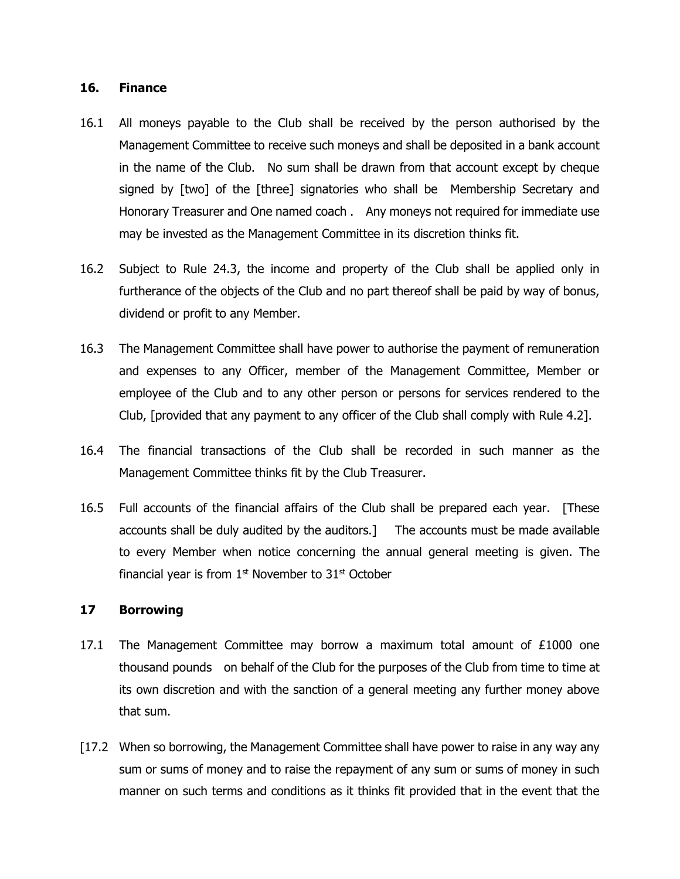#### **16. Finance**

- 16.1 All moneys payable to the Club shall be received by the person authorised by the Management Committee to receive such moneys and shall be deposited in a bank account in the name of the Club. No sum shall be drawn from that account except by cheque signed by [two] of the [three] signatories who shall be Membership Secretary and Honorary Treasurer and One named coach . Any moneys not required for immediate use may be invested as the Management Committee in its discretion thinks fit.
- 16.2 Subject to Rule 24.3, the income and property of the Club shall be applied only in furtherance of the objects of the Club and no part thereof shall be paid by way of bonus, dividend or profit to any Member.
- 16.3 The Management Committee shall have power to authorise the payment of remuneration and expenses to any Officer, member of the Management Committee, Member or employee of the Club and to any other person or persons for services rendered to the Club, [provided that any payment to any officer of the Club shall comply with Rule 4.2].
- 16.4 The financial transactions of the Club shall be recorded in such manner as the Management Committee thinks fit by the Club Treasurer.
- 16.5 Full accounts of the financial affairs of the Club shall be prepared each year. [These accounts shall be duly audited by the auditors.] The accounts must be made available to every Member when notice concerning the annual general meeting is given. The financial year is from  $1<sup>st</sup>$  November to  $31<sup>st</sup>$  October

#### **17 Borrowing**

- 17.1 The Management Committee may borrow a maximum total amount of  $£1000$  one thousand pounds on behalf of the Club for the purposes of the Club from time to time at its own discretion and with the sanction of a general meeting any further money above that sum.
- [17.2 When so borrowing, the Management Committee shall have power to raise in any way any sum or sums of money and to raise the repayment of any sum or sums of money in such manner on such terms and conditions as it thinks fit provided that in the event that the